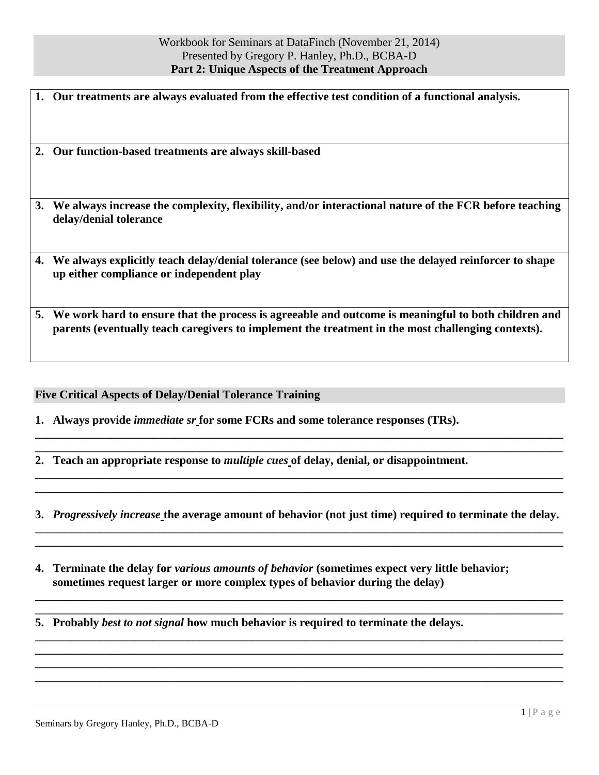|    | 1. Our treatments are always evaluated from the effective test condition of a functional analysis.                                                                                                           |
|----|--------------------------------------------------------------------------------------------------------------------------------------------------------------------------------------------------------------|
|    | 2. Our function-based treatments are always skill-based                                                                                                                                                      |
|    | 3. We always increase the complexity, flexibility, and/or interactional nature of the FCR before teaching<br>delay/denial tolerance                                                                          |
| 4. | We always explicitly teach delay/denial tolerance (see below) and use the delayed reinforcer to shape<br>up either compliance or independent play                                                            |
|    | 5. We work hard to ensure that the process is agreeable and outcome is meaningful to both children and<br>parents (eventually teach caregivers to implement the treatment in the most challenging contexts). |

**Five Critical Aspects of Delay/Denial Tolerance Training**

**1. Always provide** *immediate sr* **for some FCRs and some tolerance responses (TRs).**

**2. Teach an appropriate response to** *multiple cues* **of delay, denial, or disappointment.**

**3.** *Progressively increase* **the average amount of behavior (not just time) required to terminate the delay. \_\_\_\_\_\_\_\_\_\_\_\_\_\_\_\_\_\_\_\_\_\_\_\_\_\_\_\_\_\_\_\_\_\_\_\_\_\_\_\_\_\_\_\_\_\_\_\_\_\_\_\_\_\_\_\_\_\_\_\_\_\_\_\_\_\_\_\_\_\_\_\_\_\_\_\_\_\_\_\_\_\_\_\_\_\_\_\_\_\_**

**\_\_\_\_\_\_\_\_\_\_\_\_\_\_\_\_\_\_\_\_\_\_\_\_\_\_\_\_\_\_\_\_\_\_\_\_\_\_\_\_\_\_\_\_\_\_\_\_\_\_\_\_\_\_\_\_\_\_\_\_\_\_\_\_\_\_\_\_\_\_\_\_\_\_\_\_\_\_\_\_\_\_\_\_\_\_\_\_\_\_**

**\_\_\_\_\_\_\_\_\_\_\_\_\_\_\_\_\_\_\_\_\_\_\_\_\_\_\_\_\_\_\_\_\_\_\_\_\_\_\_\_\_\_\_\_\_\_\_\_\_\_\_\_\_\_\_\_\_\_\_\_\_\_\_\_\_\_\_\_\_\_\_\_\_\_\_\_\_\_\_\_\_\_\_\_\_\_\_\_\_\_ \_\_\_\_\_\_\_\_\_\_\_\_\_\_\_\_\_\_\_\_\_\_\_\_\_\_\_\_\_\_\_\_\_\_\_\_\_\_\_\_\_\_\_\_\_\_\_\_\_\_\_\_\_\_\_\_\_\_\_\_\_\_\_\_\_\_\_\_\_\_\_\_\_\_\_\_\_\_\_\_\_\_\_\_\_\_\_\_\_\_**

**\_\_\_\_\_\_\_\_\_\_\_\_\_\_\_\_\_\_\_\_\_\_\_\_\_\_\_\_\_\_\_\_\_\_\_\_\_\_\_\_\_\_\_\_\_\_\_\_\_\_\_\_\_\_\_\_\_\_\_\_\_\_\_\_\_\_\_\_\_\_\_\_\_\_\_\_\_\_\_\_\_\_\_\_\_\_\_\_\_\_ \_\_\_\_\_\_\_\_\_\_\_\_\_\_\_\_\_\_\_\_\_\_\_\_\_\_\_\_\_\_\_\_\_\_\_\_\_\_\_\_\_\_\_\_\_\_\_\_\_\_\_\_\_\_\_\_\_\_\_\_\_\_\_\_\_\_\_\_\_\_\_\_\_\_\_\_\_\_\_\_\_\_\_\_\_\_\_\_\_\_ \_\_\_\_\_\_\_\_\_\_\_\_\_\_\_\_\_\_\_\_\_\_\_\_\_\_\_\_\_\_\_\_\_\_\_\_\_\_\_\_\_\_\_\_\_\_\_\_\_\_\_\_\_\_\_\_\_\_\_\_\_\_\_\_\_\_\_\_\_\_\_\_\_\_\_\_\_\_\_\_\_\_\_\_\_\_\_\_\_\_ \_\_\_\_\_\_\_\_\_\_\_\_\_\_\_\_\_\_\_\_\_\_\_\_\_\_\_\_\_\_\_\_\_\_\_\_\_\_\_\_\_\_\_\_\_\_\_\_\_\_\_\_\_\_\_\_\_\_\_\_\_\_\_\_\_\_\_\_\_\_\_\_\_\_\_\_\_\_\_\_\_\_\_\_\_\_\_\_\_\_**

**\_\_\_\_\_\_\_\_\_\_\_\_\_\_\_\_\_\_\_\_\_\_\_\_\_\_\_\_\_\_\_\_\_\_\_\_\_\_\_\_\_\_\_\_\_\_\_\_\_\_\_\_\_\_\_\_\_\_\_\_\_\_\_\_\_\_\_\_\_\_\_\_\_\_\_\_\_\_\_\_\_\_\_\_\_\_\_\_\_\_ \_\_\_\_\_\_\_\_\_\_\_\_\_\_\_\_\_\_\_\_\_\_\_\_\_\_\_\_\_\_\_\_\_\_\_\_\_\_\_\_\_\_\_\_\_\_\_\_\_\_\_\_\_\_\_\_\_\_\_\_\_\_\_\_\_\_\_\_\_\_\_\_\_\_\_\_\_\_\_\_\_\_\_\_\_\_\_\_\_\_**

**\_\_\_\_\_\_\_\_\_\_\_\_\_\_\_\_\_\_\_\_\_\_\_\_\_\_\_\_\_\_\_\_\_\_\_\_\_\_\_\_\_\_\_\_\_\_\_\_\_\_\_\_\_\_\_\_\_\_\_\_\_\_\_\_\_\_\_\_\_\_\_\_\_\_\_\_\_\_\_\_\_\_\_\_\_\_\_\_\_\_ \_\_\_\_\_\_\_\_\_\_\_\_\_\_\_\_\_\_\_\_\_\_\_\_\_\_\_\_\_\_\_\_\_\_\_\_\_\_\_\_\_\_\_\_\_\_\_\_\_\_\_\_\_\_\_\_\_\_\_\_\_\_\_\_\_\_\_\_\_\_\_\_\_\_\_\_\_\_\_\_\_\_\_\_\_\_\_\_\_\_**

**4. Terminate the delay for** *various amounts of behavior* **(sometimes expect very little behavior; sometimes request larger or more complex types of behavior during the delay)**

**5. Probably** *best to not signal* **how much behavior is required to terminate the delays.**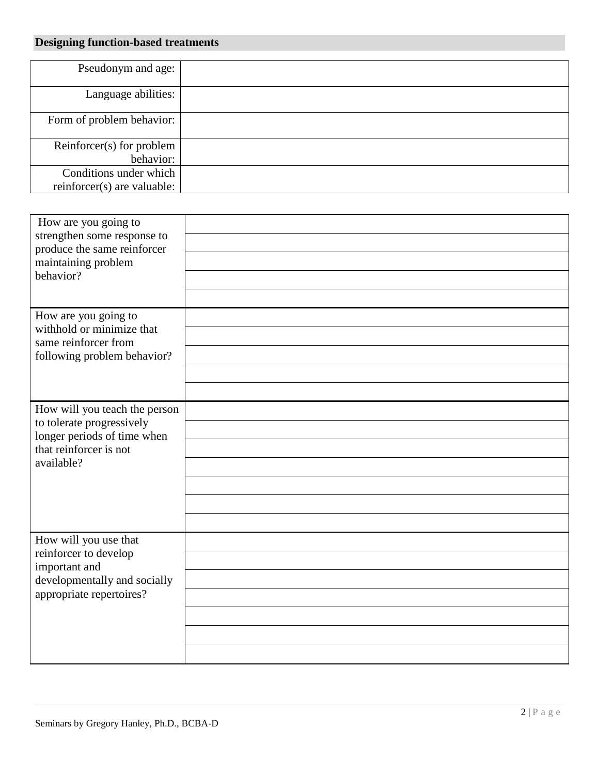## **Designing function-based treatments**

| Pseudonym and age:          |  |
|-----------------------------|--|
|                             |  |
| Language abilities:         |  |
|                             |  |
| Form of problem behavior:   |  |
|                             |  |
| Reinforcer(s) for problem   |  |
| behavior:                   |  |
| Conditions under which      |  |
| reinforcer(s) are valuable: |  |

| How are you going to<br>strengthen some response to<br>produce the same reinforcer |  |
|------------------------------------------------------------------------------------|--|
| maintaining problem                                                                |  |
| behavior?                                                                          |  |
|                                                                                    |  |
| How are you going to<br>withhold or minimize that                                  |  |
| same reinforcer from                                                               |  |
| following problem behavior?                                                        |  |
|                                                                                    |  |
|                                                                                    |  |
| How will you teach the person<br>to tolerate progressively                         |  |
| longer periods of time when                                                        |  |
| that reinforcer is not<br>available?                                               |  |
|                                                                                    |  |
|                                                                                    |  |
|                                                                                    |  |
|                                                                                    |  |
| How will you use that<br>reinforcer to develop                                     |  |
| important and                                                                      |  |
| developmentally and socially<br>appropriate repertoires?                           |  |
|                                                                                    |  |
|                                                                                    |  |
|                                                                                    |  |
|                                                                                    |  |